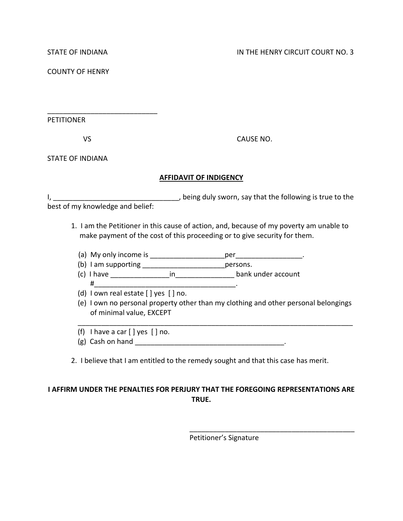COUNTY OF HENRY

PETITIONER

\_\_\_\_\_\_\_\_\_\_\_\_\_\_\_\_\_\_\_\_\_\_\_\_\_\_\_\_

VS CAUSE NO.

STATE OF INDIANA

### **AFFIDAVIT OF INDIGENCY**

I, \_\_\_\_\_\_\_\_\_\_\_\_\_\_\_\_\_\_\_\_\_\_\_\_\_\_\_\_\_\_\_\_, being duly sworn, say that the following is true to the best of my knowledge and belief:

- 1. I am the Petitioner in this cause of action, and, because of my poverty am unable to make payment of the cost of this proceeding or to give security for them.
	- (a) My only income is \_\_\_\_\_\_\_\_\_\_\_\_\_\_\_\_\_\_\_per\_\_\_\_\_\_\_\_\_\_\_\_\_\_\_\_\_.
	- (b) I am supporting \_\_\_\_\_\_\_\_\_\_\_\_\_\_\_\_\_\_\_\_\_persons.

 $\#$  . The contract of the contract of the contract of the contract of the contract of the contract of the contract of the contract of the contract of the contract of the contract of the contract of the contract of the co

(c) I have \_\_\_\_\_\_\_\_\_\_\_\_\_\_\_in\_\_\_\_\_\_\_\_\_\_\_\_\_\_\_ bank under account

- (d) I own real estate [ ] yes [ ] no.
- (e) I own no personal property other than my clothing and other personal belongings of minimal value, EXCEPT
- (f) I have a car  $[]$  yes  $[]$  no.
- (g) Cash on hand \_\_\_\_\_\_\_\_\_\_\_\_\_\_\_\_\_\_\_\_\_\_\_\_\_\_\_\_\_\_\_\_\_\_\_\_\_\_.
- 2. I believe that I am entitled to the remedy sought and that this case has merit.

\_\_\_\_\_\_\_\_\_\_\_\_\_\_\_\_\_\_\_\_\_\_\_\_\_\_\_\_\_\_\_\_\_\_\_\_\_\_\_\_\_\_\_\_\_\_\_\_\_\_\_\_\_\_\_\_\_\_\_\_\_\_\_\_\_\_\_\_\_\_

# **I AFFIRM UNDER THE PENALTIES FOR PERJURY THAT THE FOREGOING REPRESENTATIONS ARE TRUE.**

Petitioner's Signature

\_\_\_\_\_\_\_\_\_\_\_\_\_\_\_\_\_\_\_\_\_\_\_\_\_\_\_\_\_\_\_\_\_\_\_\_\_\_\_\_\_\_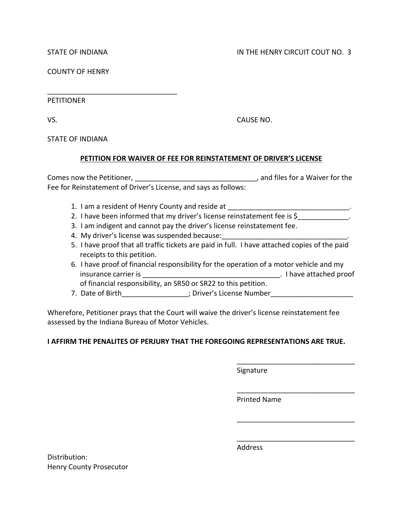COUNTY OF HENRY

\_\_\_\_\_\_\_\_\_\_\_\_\_\_\_\_\_\_\_\_\_\_\_\_\_\_\_\_\_\_\_\_\_

PETITIONER

VS. CAUSE NO.

STATE OF INDIANA

## **PETITION FOR WAIVER OF FEE FOR REINSTATEMENT OF DRIVER'S LICENSE**

Comes now the Petitioner, \_\_\_\_\_\_\_\_\_\_\_\_\_\_\_\_\_\_\_\_\_\_\_\_\_\_\_\_\_\_\_, and files for a Waiver for the Fee for Reinstatement of Driver's License, and says as follows:

- 1. I am a resident of Henry County and reside at
- 2. I have been informed that my driver's license reinstatement fee is \$
- 3. I am indigent and cannot pay the driver's license reinstatement fee.
- 4. My driver's license was suspended because:
- 5. I have proof that all traffic tickets are paid in full. I have attached copies of the paid receipts to this petition.
- 6. I have proof of financial responsibility for the operation of a motor vehicle and my insurance carrier is \_\_\_\_\_\_\_\_\_\_\_\_\_\_\_\_\_\_\_\_\_\_\_\_\_\_\_\_\_\_\_\_\_\_\_. I have attached proof of financial responsibility, an SR50 or SR22 to this petition.
- 7. Date of Birth\_\_\_\_\_\_\_\_\_\_\_\_\_\_\_\_; Driver's License Number\_\_\_\_\_\_\_\_\_\_\_\_\_\_\_\_\_\_\_\_\_\_\_

Wherefore, Petitioner prays that the Court will waive the driver's license reinstatement fee assessed by the Indiana Bureau of Motor Vehicles.

# **I AFFIRM THE PENALITES OF PERJURY THAT THE FOREGOING REPRESENTATIONS ARE TRUE.**

Signature

Printed Name

\_\_\_\_\_\_\_\_\_\_\_\_\_\_\_\_\_\_\_\_\_\_\_\_\_\_\_\_\_\_

\_\_\_\_\_\_\_\_\_\_\_\_\_\_\_\_\_\_\_\_\_\_\_\_\_\_\_\_\_\_

\_\_\_\_\_\_\_\_\_\_\_\_\_\_\_\_\_\_\_\_\_\_\_\_\_\_\_\_\_\_

\_\_\_\_\_\_\_\_\_\_\_\_\_\_\_\_\_\_\_\_\_\_\_\_\_\_\_\_\_\_

Henry County Prosecutor

Distribution:

Address